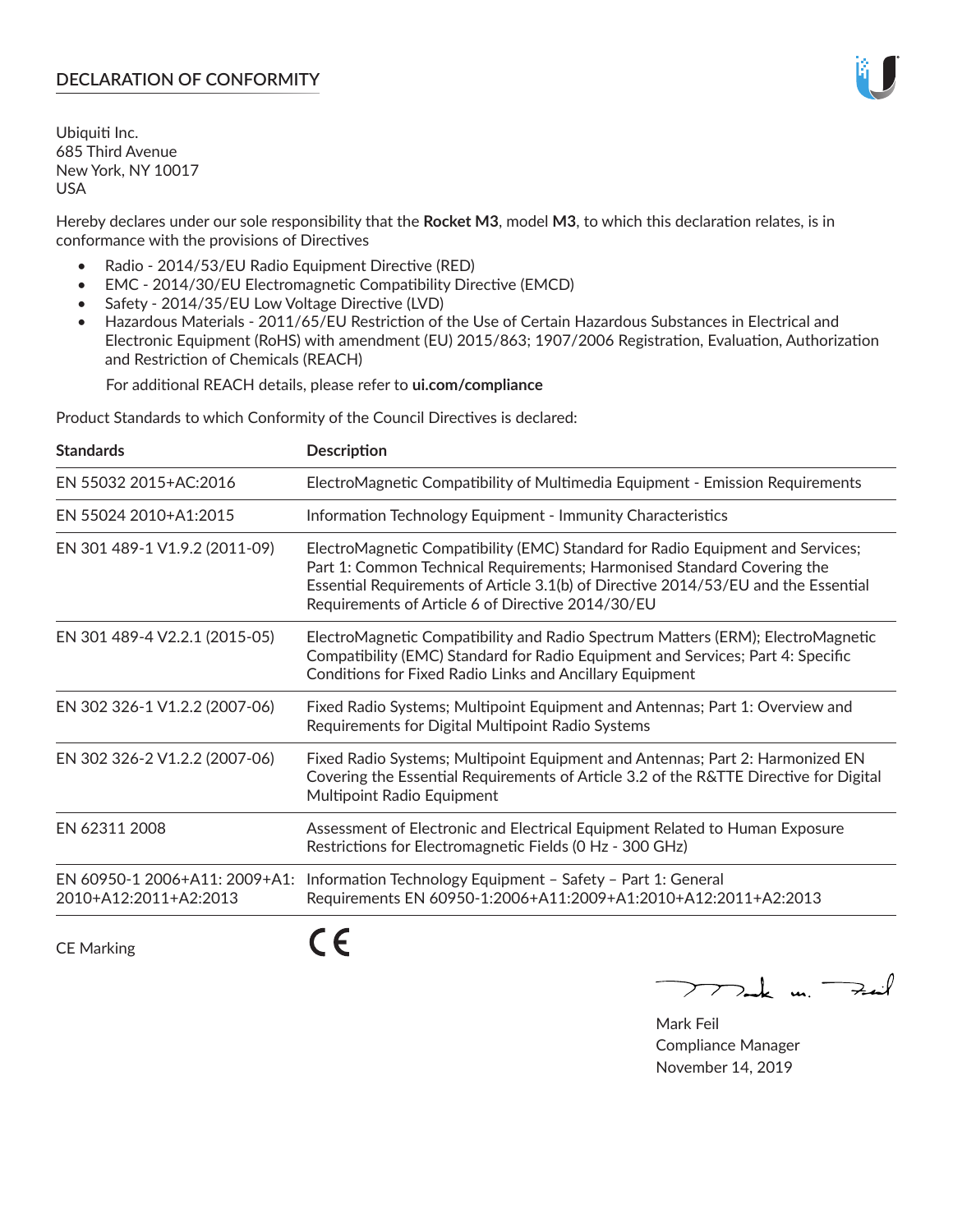# **DECLARATION OF CONFORMITY**

Ubiquiti Inc. 685 Third Avenue New York, NY 10017 USA

Hereby declares under our sole responsibility that the **Rocket M3**, model **M3**, to which this declaration relates, is in conformance with the provisions of Directives

- Radio 2014/53/EU Radio Equipment Directive (RED)
- EMC 2014/30/EU Electromagnetic Compatibility Directive (EMCD)
- Safety 2014/35/EU Low Voltage Directive (LVD)
- Hazardous Materials 2011/65/EU Restriction of the Use of Certain Hazardous Substances in Electrical and Electronic Equipment (RoHS) with amendment (EU) 2015/863; 1907/2006 Registration, Evaluation, Authorization and Restriction of Chemicals (REACH)

For additional REACH details, please refer to **ui.com/compliance**

Product Standards to which Conformity of the Council Directives is declared:

| <b>Standards</b>                                       | <b>Description</b>                                                                                                                                                                                                                                                                                   |
|--------------------------------------------------------|------------------------------------------------------------------------------------------------------------------------------------------------------------------------------------------------------------------------------------------------------------------------------------------------------|
| EN 55032 2015+AC:2016                                  | ElectroMagnetic Compatibility of Multimedia Equipment - Emission Requirements                                                                                                                                                                                                                        |
| EN 55024 2010+A1:2015                                  | Information Technology Equipment - Immunity Characteristics                                                                                                                                                                                                                                          |
| EN 301 489-1 V1.9.2 (2011-09)                          | ElectroMagnetic Compatibility (EMC) Standard for Radio Equipment and Services;<br>Part 1: Common Technical Requirements; Harmonised Standard Covering the<br>Essential Requirements of Article 3.1(b) of Directive 2014/53/EU and the Essential<br>Requirements of Article 6 of Directive 2014/30/EU |
| EN 301 489-4 V2.2.1 (2015-05)                          | ElectroMagnetic Compatibility and Radio Spectrum Matters (ERM); ElectroMagnetic<br>Compatibility (EMC) Standard for Radio Equipment and Services; Part 4: Specific<br>Conditions for Fixed Radio Links and Ancillary Equipment                                                                       |
| EN 302 326-1 V1.2.2 (2007-06)                          | Fixed Radio Systems; Multipoint Equipment and Antennas; Part 1: Overview and<br>Requirements for Digital Multipoint Radio Systems                                                                                                                                                                    |
| EN 302 326-2 V1.2.2 (2007-06)                          | Fixed Radio Systems; Multipoint Equipment and Antennas; Part 2: Harmonized EN<br>Covering the Essential Requirements of Article 3.2 of the R&TTE Directive for Digital<br>Multipoint Radio Equipment                                                                                                 |
| EN 62311 2008                                          | Assessment of Electronic and Electrical Equipment Related to Human Exposure<br>Restrictions for Electromagnetic Fields (0 Hz - 300 GHz)                                                                                                                                                              |
| EN 60950-1 2006+A11: 2009+A1:<br>2010+A12:2011+A2:2013 | Information Technology Equipment - Safety - Part 1: General<br>Requirements EN 60950-1:2006+A11:2009+A1:2010+A12:2011+A2:2013                                                                                                                                                                        |
| <b>CE Marking</b>                                      |                                                                                                                                                                                                                                                                                                      |

 $\nabla$ ak un  $\rightarrow$ ail

Mark Feil Compliance Manager November 14, 2019

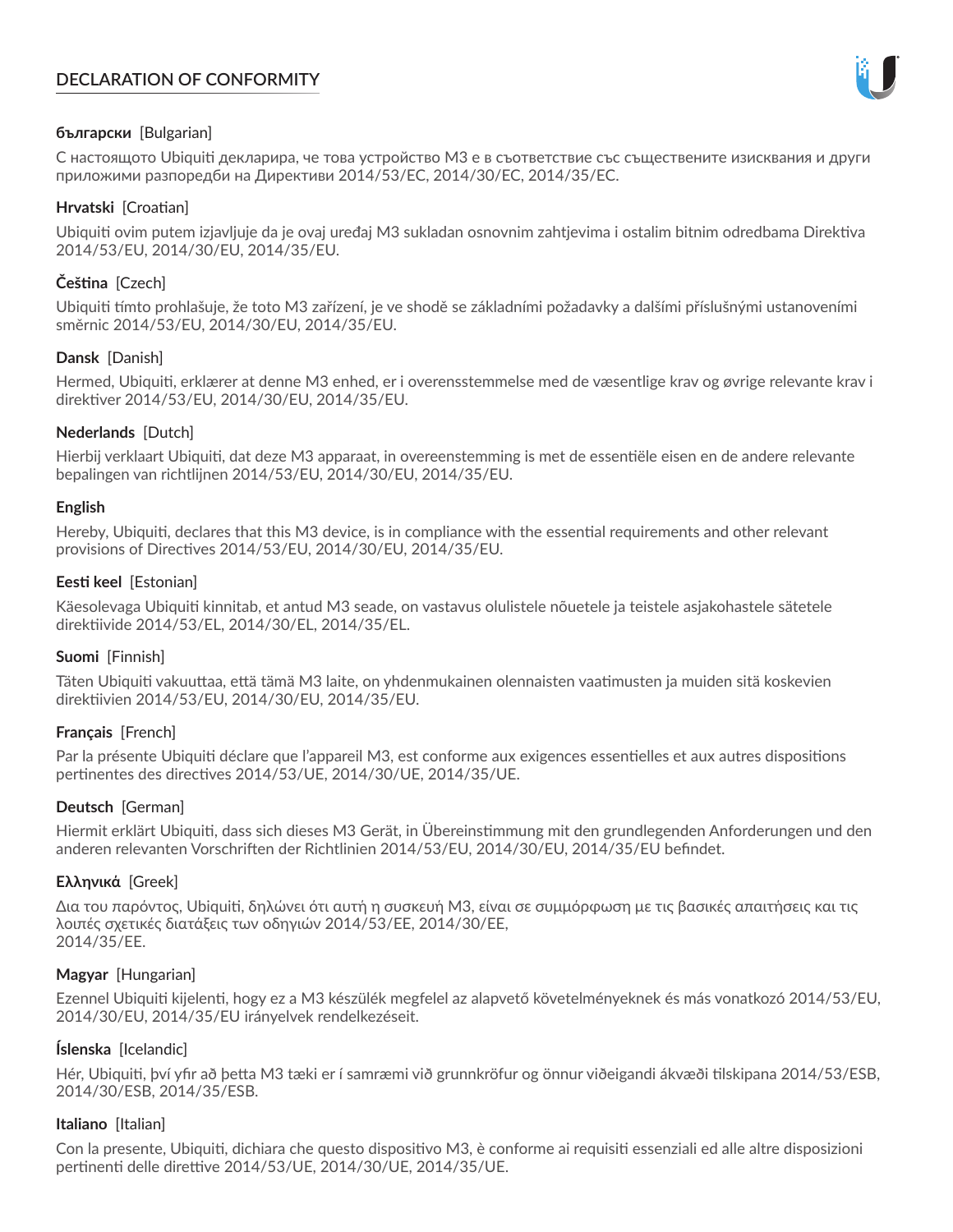# **DECLARATION OF CONFORMITY**



# **български** [Bulgarian]

С настоящото Ubiquiti декларира, че това устройство M3 е в съответствие със съществените изисквания и други приложими разпоредби на Директиви 2014/53/EC, 2014/30/ЕС, 2014/35/ЕС.

## **Hrvatski** [Croatian]

Ubiquiti ovim putem izjavljuje da je ovaj uređaj M3 sukladan osnovnim zahtjevima i ostalim bitnim odredbama Direktiva 2014/53/EU, 2014/30/EU, 2014/35/EU.

# **Čeština** [Czech]

Ubiquiti tímto prohlašuje, že toto M3 zařízení, je ve shodě se základními požadavky a dalšími příslušnými ustanoveními směrnic 2014/53/EU, 2014/30/EU, 2014/35/EU.

# **Dansk** [Danish]

Hermed, Ubiquiti, erklærer at denne M3 enhed, er i overensstemmelse med de væsentlige krav og øvrige relevante krav i direktiver 2014/53/EU, 2014/30/EU, 2014/35/EU.

# **Nederlands** [Dutch]

Hierbij verklaart Ubiquiti, dat deze M3 apparaat, in overeenstemming is met de essentiële eisen en de andere relevante bepalingen van richtlijnen 2014/53/EU, 2014/30/EU, 2014/35/EU.

## **English**

Hereby, Ubiquiti, declares that this M3 device, is in compliance with the essential requirements and other relevant provisions of Directives 2014/53/EU, 2014/30/EU, 2014/35/EU.

# **Eesti keel** [Estonian]

Käesolevaga Ubiquiti kinnitab, et antud M3 seade, on vastavus olulistele nõuetele ja teistele asjakohastele sätetele direktiivide 2014/53/EL, 2014/30/EL, 2014/35/EL.

## **Suomi** [Finnish]

Täten Ubiquiti vakuuttaa, että tämä M3 laite, on yhdenmukainen olennaisten vaatimusten ja muiden sitä koskevien direktiivien 2014/53/EU, 2014/30/EU, 2014/35/EU.

## **Français** [French]

Par la présente Ubiquiti déclare que l'appareil M3, est conforme aux exigences essentielles et aux autres dispositions pertinentes des directives 2014/53/UE, 2014/30/UE, 2014/35/UE.

# **Deutsch** [German]

Hiermit erklärt Ubiquiti, dass sich dieses M3 Gerät, in Übereinstimmung mit den grundlegenden Anforderungen und den anderen relevanten Vorschriften der Richtlinien 2014/53/EU, 2014/30/EU, 2014/35/EU befindet.

## **Ελληνικά** [Greek]

Δια του παρόντος, Ubiquiti, δηλώνει ότι αυτή η συσκευή M3, είναι σε συμμόρφωση με τις βασικές απαιτήσεις και τις λοιπές σχετικές διατάξεις των οδηγιών 2014/53/EE, 2014/30/EE, 2014/35/EE.

## **Magyar** [Hungarian]

Ezennel Ubiquiti kijelenti, hogy ez a M3 készülék megfelel az alapvető követelményeknek és más vonatkozó 2014/53/EU, 2014/30/EU, 2014/35/EU irányelvek rendelkezéseit.

## **Íslenska** [Icelandic]

Hér, Ubiquiti, því yfir að þetta M3 tæki er í samræmi við grunnkröfur og önnur viðeigandi ákvæði tilskipana 2014/53/ESB, 2014/30/ESB, 2014/35/ESB.

## **Italiano** [Italian]

Con la presente, Ubiquiti, dichiara che questo dispositivo M3, è conforme ai requisiti essenziali ed alle altre disposizioni pertinenti delle direttive 2014/53/UE, 2014/30/UE, 2014/35/UE.